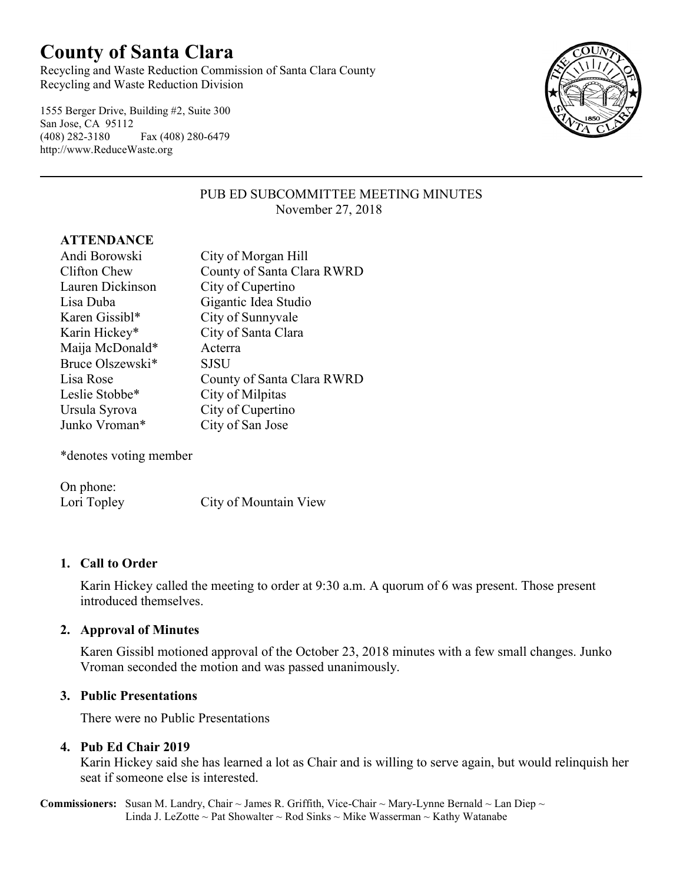# **County of Santa Clara**

Recycling and Waste Reduction Commission of Santa Clara County Recycling and Waste Reduction Division

1555 Berger Drive, Building #2, Suite 300 San Jose, CA 95112 (408) 282-3180 Fax (408) 280-6479 http://www.ReduceWaste.org



# PUB ED SUBCOMMITTEE MEETING MINUTES November 27, 2018

#### **ATTENDANCE**

| Andi Borowski    | City of Morgan Hill        |
|------------------|----------------------------|
| Clifton Chew     | County of Santa Clara RWRD |
| Lauren Dickinson | City of Cupertino          |
| Lisa Duba        | Gigantic Idea Studio       |
| Karen Gissibl*   | City of Sunnyvale          |
| Karin Hickey*    | City of Santa Clara        |
| Maija McDonald*  | Acterra                    |
| Bruce Olszewski* | <b>SJSU</b>                |
| Lisa Rose        | County of Santa Clara RWRD |
| Leslie Stobbe*   | City of Milpitas           |
| Ursula Syrova    | City of Cupertino          |
| Junko Vroman*    | City of San Jose           |

\*denotes voting member

On phone: Lori Topley City of Mountain View

# **1. Call to Order**

Karin Hickey called the meeting to order at 9:30 a.m. A quorum of 6 was present. Those present introduced themselves.

# **2. Approval of Minutes**

Karen Gissibl motioned approval of the October 23, 2018 minutes with a few small changes. Junko Vroman seconded the motion and was passed unanimously.

# **3. Public Presentations**

There were no Public Presentations

# **4. Pub Ed Chair 2019**

Karin Hickey said she has learned a lot as Chair and is willing to serve again, but would relinquish her seat if someone else is interested.

**Commissioners:** Susan M. Landry, Chair ~ James R. Griffith, Vice-Chair ~ Mary-Lynne Bernald ~ Lan Diep ~ Linda J. LeZotte ~ Pat Showalter ~ Rod Sinks ~ Mike Wasserman ~ Kathy Watanabe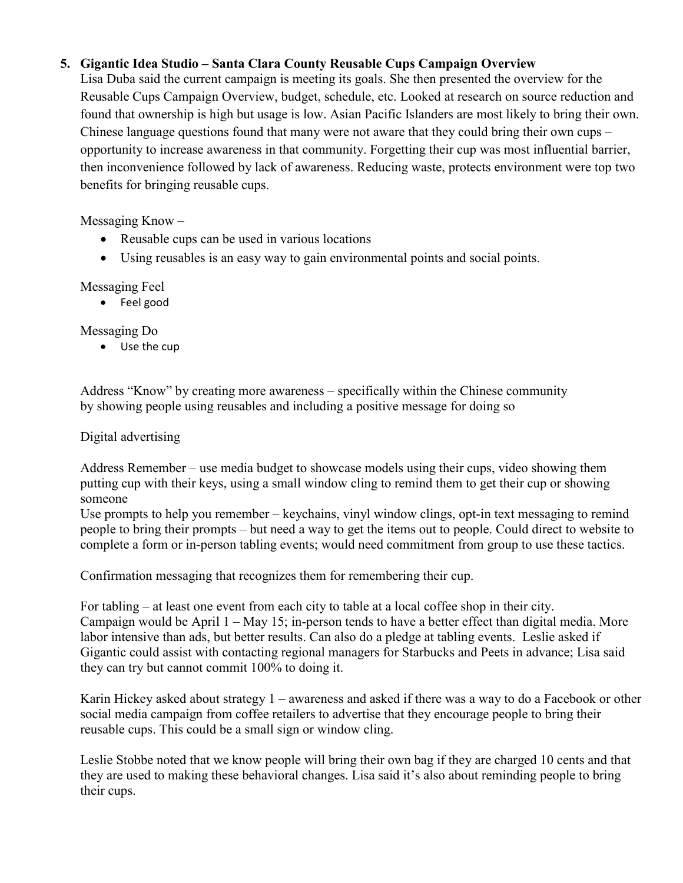# **5. Gigantic Idea Studio – Santa Clara County Reusable Cups Campaign Overview**

Lisa Duba said the current campaign is meeting its goals. She then presented the overview for the Reusable Cups Campaign Overview, budget, schedule, etc. Looked at research on source reduction and found that ownership is high but usage is low. Asian Pacific Islanders are most likely to bring their own. Chinese language questions found that many were not aware that they could bring their own cups – opportunity to increase awareness in that community. Forgetting their cup was most influential barrier, then inconvenience followed by lack of awareness. Reducing waste, protects environment were top two benefits for bringing reusable cups.

Messaging Know –

- Reusable cups can be used in various locations
- Using reusables is an easy way to gain environmental points and social points.

Messaging Feel

• Feel good

Messaging Do

• Use the cup

Address "Know" by creating more awareness – specifically within the Chinese community by showing people using reusables and including a positive message for doing so

Digital advertising

Address Remember – use media budget to showcase models using their cups, video showing them putting cup with their keys, using a small window cling to remind them to get their cup or showing someone

Use prompts to help you remember – keychains, vinyl window clings, opt-in text messaging to remind people to bring their prompts – but need a way to get the items out to people. Could direct to website to complete a form or in-person tabling events; would need commitment from group to use these tactics.

Confirmation messaging that recognizes them for remembering their cup.

For tabling – at least one event from each city to table at a local coffee shop in their city. Campaign would be April 1 – May 15; in-person tends to have a better effect than digital media. More labor intensive than ads, but better results. Can also do a pledge at tabling events. Leslie asked if Gigantic could assist with contacting regional managers for Starbucks and Peets in advance; Lisa said they can try but cannot commit 100% to doing it.

Karin Hickey asked about strategy 1 – awareness and asked if there was a way to do a Facebook or other social media campaign from coffee retailers to advertise that they encourage people to bring their reusable cups. This could be a small sign or window cling.

Leslie Stobbe noted that we know people will bring their own bag if they are charged 10 cents and that they are used to making these behavioral changes. Lisa said it's also about reminding people to bring their cups.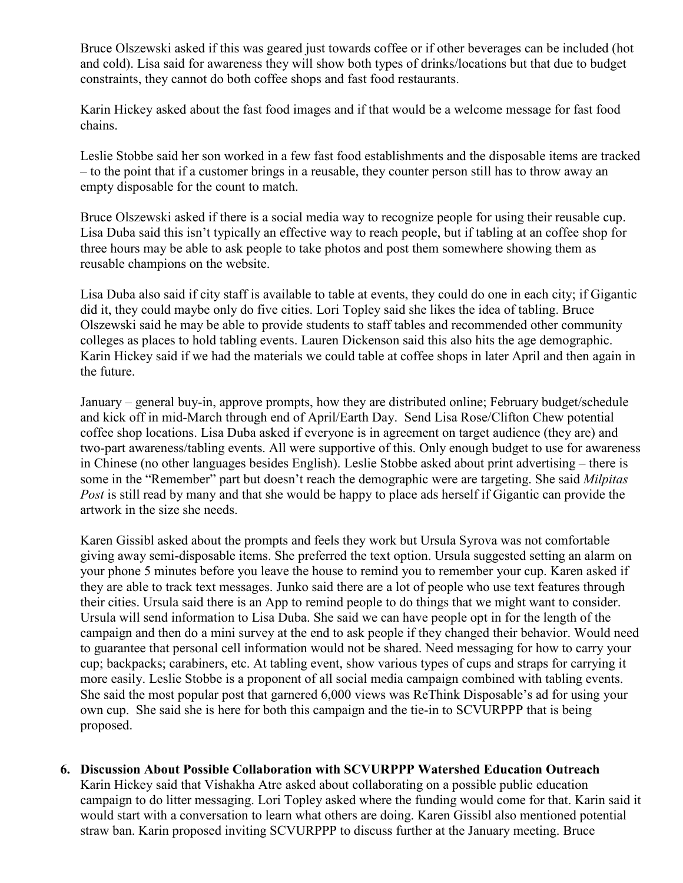Bruce Olszewski asked if this was geared just towards coffee or if other beverages can be included (hot and cold). Lisa said for awareness they will show both types of drinks/locations but that due to budget constraints, they cannot do both coffee shops and fast food restaurants.

Karin Hickey asked about the fast food images and if that would be a welcome message for fast food chains.

Leslie Stobbe said her son worked in a few fast food establishments and the disposable items are tracked – to the point that if a customer brings in a reusable, they counter person still has to throw away an empty disposable for the count to match.

Bruce Olszewski asked if there is a social media way to recognize people for using their reusable cup. Lisa Duba said this isn't typically an effective way to reach people, but if tabling at an coffee shop for three hours may be able to ask people to take photos and post them somewhere showing them as reusable champions on the website.

Lisa Duba also said if city staff is available to table at events, they could do one in each city; if Gigantic did it, they could maybe only do five cities. Lori Topley said she likes the idea of tabling. Bruce Olszewski said he may be able to provide students to staff tables and recommended other community colleges as places to hold tabling events. Lauren Dickenson said this also hits the age demographic. Karin Hickey said if we had the materials we could table at coffee shops in later April and then again in the future.

January – general buy-in, approve prompts, how they are distributed online; February budget/schedule and kick off in mid-March through end of April/Earth Day. Send Lisa Rose/Clifton Chew potential coffee shop locations. Lisa Duba asked if everyone is in agreement on target audience (they are) and two-part awareness/tabling events. All were supportive of this. Only enough budget to use for awareness in Chinese (no other languages besides English). Leslie Stobbe asked about print advertising – there is some in the "Remember" part but doesn't reach the demographic were are targeting. She said *Milpitas Post* is still read by many and that she would be happy to place ads herself if Gigantic can provide the artwork in the size she needs.

Karen Gissibl asked about the prompts and feels they work but Ursula Syrova was not comfortable giving away semi-disposable items. She preferred the text option. Ursula suggested setting an alarm on your phone 5 minutes before you leave the house to remind you to remember your cup. Karen asked if they are able to track text messages. Junko said there are a lot of people who use text features through their cities. Ursula said there is an App to remind people to do things that we might want to consider. Ursula will send information to Lisa Duba. She said we can have people opt in for the length of the campaign and then do a mini survey at the end to ask people if they changed their behavior. Would need to guarantee that personal cell information would not be shared. Need messaging for how to carry your cup; backpacks; carabiners, etc. At tabling event, show various types of cups and straps for carrying it more easily. Leslie Stobbe is a proponent of all social media campaign combined with tabling events. She said the most popular post that garnered 6,000 views was ReThink Disposable's ad for using your own cup. She said she is here for both this campaign and the tie-in to SCVURPPP that is being proposed.

#### **6. Discussion About Possible Collaboration with SCVURPPP Watershed Education Outreach**

Karin Hickey said that Vishakha Atre asked about collaborating on a possible public education campaign to do litter messaging. Lori Topley asked where the funding would come for that. Karin said it would start with a conversation to learn what others are doing. Karen Gissibl also mentioned potential straw ban. Karin proposed inviting SCVURPPP to discuss further at the January meeting. Bruce